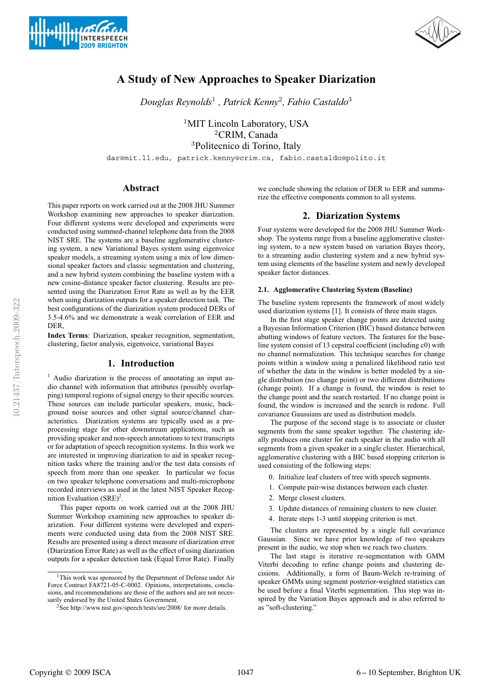



# **A Study of New Approaches to Speaker Diarization**

*Douglas Reynolds*<sup>1</sup> *, Patrick Kenny*<sup>2</sup>*, Fabio Castaldo*<sup>3</sup>

<sup>1</sup>MIT Lincoln Laboratory, USA <sup>2</sup>CRIM, Canada <sup>3</sup>Politecnico di Torino, Italy

dar@mit.ll.edu, patrick.kenny@crim.ca, fabio.castaldo@polito.it

# **Abstract**

This paper reports on work carried out at the 2008 JHU Summer Workshop examining new approaches to speaker diarization. Four different systems were developed and experiments were conducted using summed-channel telephone data from the 2008 NIST SRE. The systems are a baseline agglomerative clustering system, a new Variational Bayes system using eigenvoice speaker models, a streaming system using a mix of low dimensional speaker factors and classic segmentation and clustering, and a new hybrid system combining the baseline system with a new cosine-distance speaker factor clustering. Results are presented using the Diarization Error Rate as well as by the EER when using diarization outputs for a speaker detection task. The best configurations of the diarization system produced DERs of 3.5-4.6% and we demonstrate a weak correlation of EER and DER,

**Index Terms**: Diarization, speaker recognition, segmentation, clustering, factor analysis, eigenvoice, variational Bayes

### **1. Introduction**

 $1$  Audio diarization is the process of annotating an input audio channel with information that attributes (possibly overlapping) temporal regions of signal energy to their specific sources. These sources can include particular speakers, music, background noise sources and other signal source/channel characteristics. Diarization systems are typically used as a preprocessing stage for other downstream applications, such as providing speaker and non-speech annotations to text transcripts or for adaptation of speech recognition systems. In this work we are interested in improving diarization to aid in speaker recognition tasks where the training and/or the test data consists of speech from more than one speaker. In particular we focus on two speaker telephone conversations and multi-microphone recorded interviews as used in the latest NIST Speaker Recognition Evaluation  $(SRE)^2$ .

This paper reports on work carried out at the 2008 JHU Summer Workshop examining new approaches to speaker diarization. Four different systems were developed and experiments were conducted using data from the 2008 NIST SRE. Results are presented using a direct measure of diarization error (Diarization Error Rate) as well as the effect of using diarization outputs for a speaker detection task (Equal Error Rate). Finally we conclude showing the relation of DER to EER and summarize the effective components common to all systems.

# **2. Diarization Systems**

Four systems were developed for the 2008 JHU Summer Workshop. The systems range from a baseline agglomerative clustering system, to a new system based on variation Bayes theory, to a streaming audio clustering system and a new hybrid system using elements of the baseline system and newly developed speaker factor distances.

#### **2.1. Agglomerative Clustering System (Baseline)**

The baseline system represents the framework of most widely used diarization systems [1]. It consists of three main stages.

In the first stage speaker change points are detected using a Bayesian Information Criterion (BIC) based distance between abutting windows of feature vectors. The features for the baseline system consist of 13 cepstral coefficient (including c0) with no channel normalization. This technique searches for change points within a window using a penalized likelihood ratio test of whether the data in the window is better modeled by a single distribution (no change point) or two different distributions (change point). If a change is found, the window is reset to the change point and the search restarted. If no change point is found, the window is increased and the search is redone. Full covariance Gaussians are used as distribution models.

The purpose of the second stage is to associate or cluster segments from the same speaker together. The clustering ideally produces one cluster for each speaker in the audio with all segments from a given speaker in a single cluster. Hierarchical, agglomerative clustering with a BIC based stopping criterion is used consisting of the following steps:

- 0. Initialize leaf clusters of tree with speech segments.
- 1. Compute pair-wise distances between each cluster.
- 2. Merge closest clusters.
- 3. Update distances of remaining clusters to new cluster.
- 4. Iterate steps 1-3 until stopping criterion is met.

The clusters are represented by a single full covariance Gaussian. Since we have prior knowledge of two speakers present in the audio, we stop when we reach two clusters.

The last stage is iterative re-segmentation with GMM Viterbi decoding to refine change points and clustering decisions. Additionally, a form of Baum-Welch re-training of speaker GMMs using segment posterior-weighted statistics can be used before a final Viterbi segmentation. This step was inspired by the Variation Bayes approach and is also referred to as "soft-clustering."

<sup>&</sup>lt;sup>1</sup>This work was sponsored by the Department of Defense under Air Force Contract FA8721-05-C-0002. Opinions, interpretations, conclusions, and recommendations are those of the authors and are not necessarily endorsed by the United States Government.

<sup>&</sup>lt;sup>2</sup>See http://www.nist.gov/speech/tests/sre/2008/ for more details.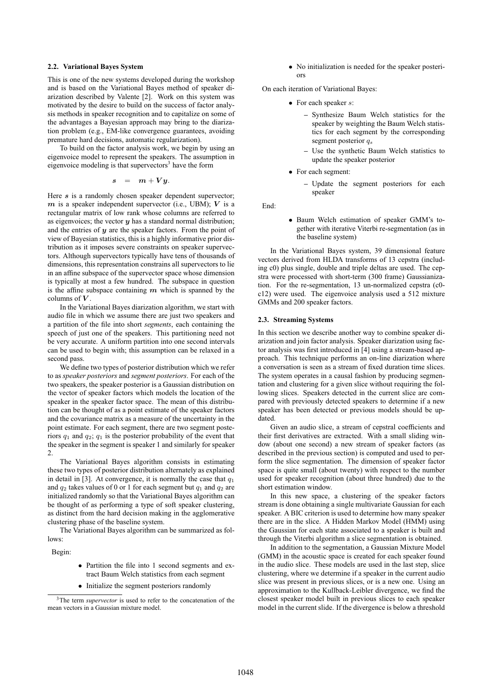#### **2.2. Variational Bayes System**

This is one of the new systems developed during the workshop and is based on the Variational Bayes method of speaker diarization described by Valente [2]. Work on this system was motivated by the desire to build on the success of factor analysis methods in speaker recognition and to capitalize on some of the advantages a Bayesian approach may bring to the diarization problem (e.g., EM-like convergence guarantees, avoiding premature hard decisions, automatic regularization).

To build on the factor analysis work, we begin by using an eigenvoice model to represent the speakers. The assumption in eigenvoice modeling is that supervectors<sup>3</sup> have the form

$$
s \quad = \quad m + V y.
$$

Here s is a randomly chosen speaker dependent supervector;  $m$  is a speaker independent supervector (i.e., UBM);  $V$  is a rectangular matrix of low rank whose columns are referred to as eigenvoices; the vector  $y$  has a standard normal distribution; and the entries of  $y$  are the speaker factors. From the point of view of Bayesian statistics, this is a highly informative prior distribution as it imposes severe constraints on speaker supervectors. Although supervectors typically have tens of thousands of dimensions, this representation constrains all supervectors to lie in an affine subspace of the supervector space whose dimension is typically at most a few hundred. The subspace in question is the affine subspace containing  $m$  which is spanned by the columns of  $V$ .

In the Variational Bayes diarization algorithm, we start with audio file in which we assume there are just two speakers and a partition of the file into short *segments*, each containing the speech of just one of the speakers. This partitioning need not be very accurate. A uniform partition into one second intervals can be used to begin with; this assumption can be relaxed in a second pass.

We define two types of posterior distribution which we refer to as *speaker posteriors* and *segment posteriors*. For each of the two speakers, the speaker posterior is a Gaussian distribution on the vector of speaker factors which models the location of the speaker in the speaker factor space. The mean of this distribution can be thought of as a point estimate of the speaker factors and the covariance matrix as a measure of the uncertainty in the point estimate. For each segment, there are two segment posteriors  $q_1$  and  $q_2$ ;  $q_1$  is the posterior probability of the event that the speaker in the segment is speaker 1 and similarly for speaker 2.

The Variational Bayes algorithm consists in estimating these two types of posterior distribution alternately as explained in detail in [3]. At convergence, it is normally the case that  $q_1$ and  $q_2$  takes values of 0 or 1 for each segment but  $q_1$  and  $q_2$  are initialized randomly so that the Variational Bayes algorithm can be thought of as performing a type of soft speaker clustering, as distinct from the hard decision making in the agglomerative clustering phase of the baseline system.

The Variational Bayes algorithm can be summarized as follows:

Begin:

- Partition the file into 1 second segments and extract Baum Welch statistics from each segment
- Initialize the segment posteriors randomly

• No initialization is needed for the speaker posteriors

On each iteration of Variational Bayes:

- For each speaker s:
	- **–** Synthesize Baum Welch statistics for the speaker by weighting the Baum Welch statistics for each segment by the corresponding segment posterior  $q_s$
	- **–** Use the synthetic Baum Welch statistics to update the speaker posterior
- For each segment:
	- **–** Update the segment posteriors for each speaker

End:

• Baum Welch estimation of speaker GMM's together with iterative Viterbi re-segmentation (as in the baseline system)

In the Variational Bayes system, 39 dimensional feature vectors derived from HLDA transforms of 13 cepstra (including c0) plus single, double and triple deltas are used. The cepstra were processed with short-term (300 frame) Gaussianization. For the re-segmentation, 13 un-normalized cepstra (c0 c12) were used. The eigenvoice analysis used a 512 mixture GMMs and 200 speaker factors.

#### **2.3. Streaming Systems**

In this section we describe another way to combine speaker diarization and join factor analysis. Speaker diarization using factor analysis was first introduced in [4] using a stream-based approach. This technique performs an on-line diarization where a conversation is seen as a stream of fixed duration time slices. The system operates in a causal fashion by producing segmentation and clustering for a given slice without requiring the following slices. Speakers detected in the current slice are compared with previously detected speakers to determine if a new speaker has been detected or previous models should be updated

Given an audio slice, a stream of cepstral coefficients and their first derivatives are extracted. With a small sliding window (about one second) a new stream of speaker factors (as described in the previous section) is computed and used to perform the slice segmentation. The dimension of speaker factor space is quite small (about twenty) with respect to the number used for speaker recognition (about three hundred) due to the short estimation window.

In this new space, a clustering of the speaker factors stream is done obtaining a single multivariate Gaussian for each speaker. A BIC criterion is used to determine how many speaker there are in the slice. A Hidden Markov Model (HMM) using the Gaussian for each state associated to a speaker is built and through the Viterbi algorithm a slice segmentation is obtained.

In addition to the segmentation, a Gaussian Mixture Model (GMM) in the acoustic space is created for each speaker found in the audio slice. These models are used in the last step, slice clustering, where we determine if a speaker in the current audio slice was present in previous slices, or is a new one. Using an approximation to the Kullback-Leibler divergence, we find the closest speaker model built in previous slices to each speaker model in the current slide. If the divergence is below a threshold

<sup>&</sup>lt;sup>3</sup>The term *supervector* is used to refer to the concatenation of the mean vectors in a Gaussian mixture model.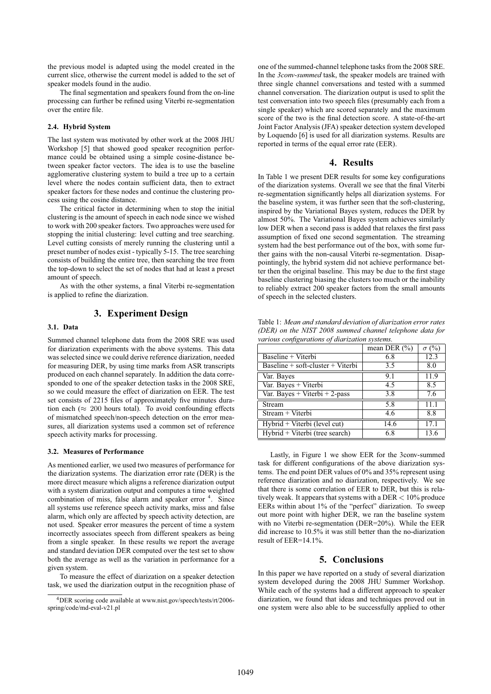the previous model is adapted using the model created in the current slice, otherwise the current model is added to the set of speaker models found in the audio.

The final segmentation and speakers found from the on-line processing can further be refined using Viterbi re-segmentation over the entire file.

#### **2.4. Hybrid System**

The last system was motivated by other work at the 2008 JHU Workshop [5] that showed good speaker recognition performance could be obtained using a simple cosine-distance between speaker factor vectors. The idea is to use the baseline agglomerative clustering system to build a tree up to a certain level where the nodes contain sufficient data, then to extract speaker factors for these nodes and continue the clustering process using the cosine distance.

The critical factor in determining when to stop the initial clustering is the amount of speech in each node since we wished to work with 200 speaker factors. Two approaches were used for stopping the initial clustering: level cutting and tree searching. Level cutting consists of merely running the clustering until a preset number of nodes exist - typically 5-15. The tree searching consists of building the entire tree, then searching the tree from the top-down to select the set of nodes that had at least a preset amount of speech.

As with the other systems, a final Viterbi re-segmentation is applied to refine the diarization.

## **3. Experiment Design**

#### **3.1. Data**

Summed channel telephone data from the 2008 SRE was used for diarization experiments with the above systems. This data was selected since we could derive reference diarization, needed for measuring DER, by using time marks from ASR transcripts produced on each channel separately. In addition the data corresponded to one of the speaker detection tasks in the 2008 SRE, so we could measure the effect of diarization on EER. The test set consists of 2215 files of approximately five minutes duration each ( $\approx 200$  hours total). To avoid confounding effects of mismatched speech/non-speech detection on the error measures, all diarization systems used a common set of reference speech activity marks for processing.

#### **3.2. Measures of Performance**

As mentioned earlier, we used two measures of performance for the diarization systems. The diarization error rate (DER) is the more direct measure which aligns a reference diarization output with a system diarization output and computes a time weighted combination of miss, false alarm and speaker error <sup>4</sup>. Since all systems use reference speech activity marks, miss and false alarm, which only are affected by speech activity detection, are not used. Speaker error measures the percent of time a system incorrectly associates speech from different speakers as being from a single speaker. In these results we report the average and standard deviation DER computed over the test set to show both the average as well as the variation in performance for a given system.

To measure the effect of diarization on a speaker detection task, we used the diarization output in the recognition phase of one of the summed-channel telephone tasks from the 2008 SRE. In the *3conv-summed* task, the speaker models are trained with three single channel conversations and tested with a summed channel conversation. The diarization output is used to split the test conversation into two speech files (presumably each from a single speaker) which are scored separately and the maximum score of the two is the final detection score. A state-of-the-art Joint Factor Analysis (JFA) speaker detection system developed by Loquendo [6] is used for all diarization systems. Results are reported in terms of the equal error rate (EER).

### **4. Results**

In Table 1 we present DER results for some key configurations of the diarization systems. Overall we see that the final Viterbi re-segmentation significantly helps all diarization systems. For the baseline system, it was further seen that the soft-clustering, inspired by the Variational Bayes system, reduces the DER by almost 50%. The Variational Bayes system achieves similarly low DER when a second pass is added that relaxes the first pass assumption of fixed one second segmentation. The streaming system had the best performance out of the box, with some further gains with the non-causal Viterbi re-segmentation. Disappointingly, the hybrid system did not achieve performance better then the original baseline. This may be due to the first stage baseline clustering biasing the clusters too much or the inability to reliably extract 200 speaker factors from the small amounts of speech in the selected clusters.

| various configurations of diarization systems. |                  |              |
|------------------------------------------------|------------------|--------------|
|                                                | mean DER $(\% )$ | $\sigma$ (%) |
| Baseline + Viterbi                             | 6.8              | 12.3         |
| Baseline + soft-cluster + Viterbi              | 3.5              | 8.0          |
| Var. Bayes                                     | 9.1              | 11.9         |
| Var. Bayes + Viterbi                           | 4.5              | 8.5          |
| Var. Bayes + Viterbi + 2-pass                  | 3.8              | 7.6          |
| Stream                                         | 5.8              | 11.1         |
| Stream + Viterbi                               | 4.6              | 8.8          |
| Hybrid + Viterbi (level cut)                   | 14.6             | 17.1         |
| Hybrid + Viterbi (tree search)                 | 6.8              | 13.6         |

Table 1: *Mean and standard deviation of diarization error rates (DER) on the NIST 2008 summed channel telephone data for*

Lastly, in Figure 1 we show EER for the 3conv-summed task for different configurations of the above diarization systems. The end point DER values of 0% and 35% represent using reference diarization and no diarization, respectively. We see that there is some correlation of EER to DER, but this is relatively weak. It appears that systems with a DER < 10% produce EERs within about 1% of the "perfect" diarization. To sweep out more point with higher DER, we ran the baseline system with no Viterbi re-segmentation (DER=20%). While the EER did increase to 10.5% it was still better than the no-diarization result of EER=14.1%.

## **5. Conclusions**

In this paper we have reported on a study of several diarization system developed during the 2008 JHU Summer Workshop. While each of the systems had a different approach to speaker diarization, we found that ideas and techniques proved out in one system were also able to be successfully applied to other

<sup>4</sup>DER scoring code available at www.nist.gov/speech/tests/rt/2006 spring/code/md-eval-v21.pl